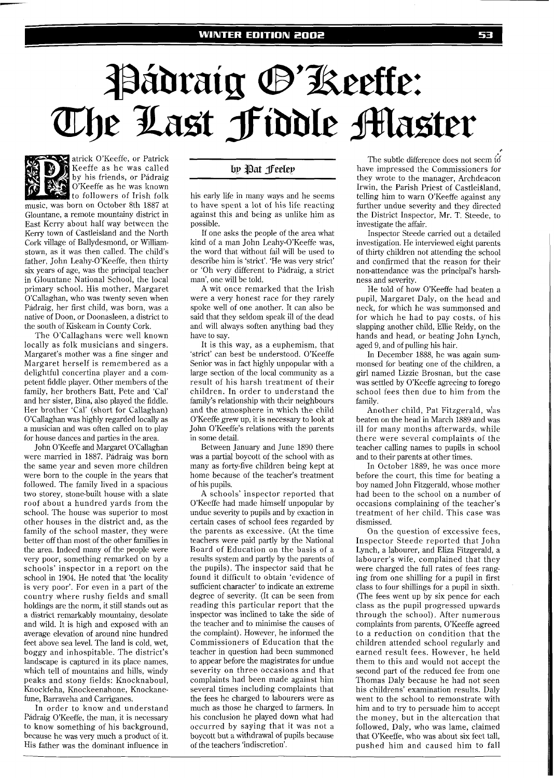# Pádraig @'Keeffe: The Last Fiddle Master

atrick O'Keeffe, or Patrick Keeffe as he was called by his friends, or Padraig O'Keeffe as he was known to followers of Irish folk music, was born on October 8th 1887 at Glountane, a remote mountainy district in East Kerry about half way between the Keny town of Castleisland and the North Cork village of Ballydesmond, or Williamstown, as it was then called. The child's father, John Leahy-O'Keeffe, then thirty six years of age, was the principal teacher in Glountane National School, the local primary school. His mother, Margaret O'Callaghan, who was twenty seven when Padraig, her first child, was born, was a native of Doon, or Doonasleen, a district to the south of Kiskeam in County Cork.

The O'Callaghans were well known locally as folk musicians and singers. Margaret's mother was a fine singer and Margaret herself is remembered as a delightful concertina player and a competent fiddle player. Other members of the family, her brothers Batt, Pete and 'Cal' and her sister, Bina, also played the fiddle. Her brother 'Cal' (short for Callaghan) O'Callaghan was highly regarded locally as a musician and was often called on to play for house dances and parties in the area.

John O'Keeffe and Margaret O'Callaghan were married in 1887. Pádraig was born the same year and seven more children were born to the couple in the years that followed. The family lived in a spacious two storey, stone-built house with a slate roof about a hundred yards from the school. The house was superior to most other houses in the district and, as the family of the school master, they were better off than most of the other families in the area. Indeed many of the people were very poor, something remarked on by a schools' inspector in a report on the school in 1904. He noted that 'the locality is very poor'. For even in a part of the country where rushy fields and small holdings are the norm, it still stands out as a district remarkably mountainy, desolate and wild. It is high and exposed with an average elevation of around nine hundred feet above sea level. The land is cold, wet, boggy and inhospitable. The district's landscape is captured in its place names, which tell of mountains and hills, windy peaks and stony fields: Knocknaboul, Knockfeha, Knockeenahone, Knockanefune, Barraveha and Carriganes.

In order to know and understand Pádraig O'Keeffe, the man, it is necessary to know something of his background, because he was very much a product of it. His father was the dominant influence in

## by Pat Jeeley

his early life in many ways and he seems to have spent a lot of his life reacting against this and being as unlike him as possible.

If one asks the people of the area what kind of a man John Leahy-O'Keeffe was, the word that without fail will be used to describe him is 'strict'. 'He was very strict' or 'Oh very different to Padraig, a strict man', one will be told.

A wit once remarked that the Irish were a very honest race for they rarely spoke well of one another. It can also be said that they seldom speak ill of the dead and will always soften anything bad they have to say.

It is this way, as a euphemism, that 'strict' can best be understood. O'Keeffe Senior was in fact highly unpopular with a large section of the local community as a result of his harsh treatment of their children. In order to understand the family's relationship with their neighbours and the atmosphere in which the child O'Keeffe grew up, it is necessary to look at John O'Keeffe's relations with the parents in some detail.

Between January and June 1890 there was a partial boycott of the school with as many as forty-five children being kept at home because of the teacher's treatment of his pupils.

A schools' inspector reported that O'Keeffe had made himself unpopular by undue severity to pupils and by exaction in certain cases of school fees regarded by the parents as excessive. (At the time teachers were paid partly by the National Board of Education on the basis of a results system and partly by the parents of the pupils). The inspector said that he found it difficult to obtain 'evidence of sufficient character' to indicate an extreme degree of severity. (It can be seen from reading this particular report that the inspector was inclined to take the side of the teacher and to minimise the causes of the complaint). However, he informed the Commissioners of Education that the teacher in question had been summoned to appear before the magistrates for undue severity on three occasions and that complaints had been made against him several times including complaints that the fees he charged to labourers were as much as those he charged to farmers. In his conclusion he played down what had occurred by saying that it was not a boycott but a withdrawal of pupils because of the teachers 'indiscretion'.

The subtle difference does not seem to have impressed the Commissioners for they wrote to the manager, Archdeacon Irwin, the Parish Priest of Castleišland. telling him to warn O'Keeffe against any further undue severity and they directed the District Inspector, Mr. T. Steede, to investigate the affair.

Inspector Steede carried out a detailed investigation. He interviewed eight parents of thirty children not attending the school and confirmed that the reason for their non-attendance was the principal's harshness and severity.

He told of how O'Keeffe had beaten a pupil, Margaret Daly, on the head and neck, for which he was summonsed and for which he had to pay costs, of his slapping another child, Ellie Reidy, on the hands and head, or beating John Lynch, aged 9, and of pulling his hair.

In December 1888, he was again summonsed for beating one of the children, a girl named Lizzie Brosnan, but the case was settled by O'Keeffe agreeing to forego school fees then due to him from the family.

Another child, Pat Fitzgerald, was beaten on the head in March 1889 and was ill for many months afterwards, while there were several complaints of the teacher calling names to pupils in school and to their parents at other times.

In October 1889, he was once more before the court, this time for beating a boy named John Fitzgerald, whose mother had been to the school on a number of occasions complaining of the teacher's treatment of her child. This case was dismissed.

On the question of excessive fees, Inspector Steede reported that John Lynch, a labourer, and Eliza Fitzgerald, a labourer's wife, complained that they were charged the full rates of fees ranging from one shilling for a pupil in first class to four shillings for a pupil in sixth. (The fees went up by six pence for each class as the pupil progressed upwards through the school). After numerous complaints from parents, O'Keeffe agreed to a reduction on condition that the children attended school regularly and earned result fees. However, he held them to this and would not accept the second part of the reduced fee from one Thomas Daly because he had not seen his childrens' examination results. Daly went to the school to remonstrate with him and to try to persuade him to accept the money, but in the altercation that followed, Daly, who was lame, claimed that O'Keeffe, who was about six feet tall, pushed him and caused him to fall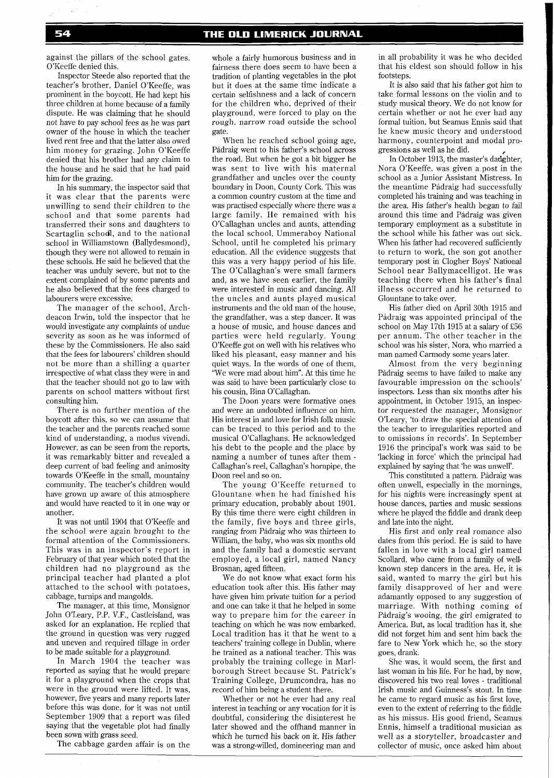against the pillars of the school gates. O'Keeffe denied this.

Inspector Steede also reported that the teacher's brother, Daniel O'Keeffe, was prominent in the boycott. He had kept his three children at home because of a family dispute. He was claiming that he should not have to pay school fees as he was part owner of the house in which the teacher lived rent free and that the latter also owed him money for grazing. John O'Keeffe denied that his brother had any claim to the house and he said that he had paid him for the grazing.

In his summary, the inspector said that it was clear that the parents were unwilling to send their children to the school and that some parents had transferred their sons and daughters to Scartaglin schodl, and to the national school in Williamstown (Ballydesmond), though they were not allowed to remain in these schools. He said he believed that the teacher was unduly severe, but not to the extent complained of by some parents and he also believed that the fees charged to labourers were excessive.

The manager of the school, Archdeacon Irwin, told the inspector that he would investigate any complaints of undue severity as soon as he was informed of these by the Commissioners. He also said that the fees for labourers' children should not be more than a shilling a quarter irrespective of what class they were in and that the teacher should not go to law with parents on school matters without first consulting him.

There is no further mention of the boycott after this, so we can assume that the teacher and the parents reached some kind of understanding, a modus vivendi. However, as can be seen from the reports, it was remarkably bitter and revealed a deep current of bad feeling and animosity towards O'Keeffe in the small, mountainy community. The teacher's children would have grown up aware of this atmosphere and would have reacted to it in one way or another.

It was not until 1904 that O'Keeffe and the school were again brought to the formal attention of the Commissioners. This was in an inspector's report in February of that year which noted that the children had no playground as the principal teacher had planted a plot attached to the school with potatoes, cabbage, turnips and mangolds.

The manager, at this time, Monsignor John O'Leary, P.P. V.F., Castleisland, was asked for an explanation. He replied that the ground in question was very rugged and uneven and required tillage in order to be made suitable for a playground.

In March 1904 the teacher was reported as saying that he would prepare it for a playground when the crops that were in the ground were lifted. It was, however, five years and many reports later before this was done, for it was not until September 1909 that a report was filed saying that the vegetable plot had finally been sown with grass seed.

The cabbage garden affair is on the

whole a fairly humorous business and in fairness there does seem to have been a tradition of planting vegetables in the plot but it does at the same time indicate a certain selfishness and a lack of concern for the children who, deprived of their playground, were forced to play on the rough, narrow road outside the school gate.

When he reached school going age, Padraig went to his father's school across the road. But when he got a bit bigger he was sent to live with his maternal grandfather and uncles over the county boundary in Doon, County Cork. This was a common country custom at the time and was practised especially where there was a large family. He remained with his O'Callaghan uncles and aunts, attending the local school, Ummeraboy National School, until he completed his primary education. All the evidence suggests that this was a very happy period of his life. The O'Callaghan's were small farmers and, as we have seen earlier, the family were interested in music and dancing. All the uncles and aunts played musical instruments and the old man of the house, the grandfather, was a step dancer. It was a house of music, and house dances and parties were held regularly. Young O'Keeffe got on well with his relatives who liked his pleasant, easy manner and his quiet ways. In the words of one of them, 'We were mad about him". At this time he was said to have been particularly close to his cousin, Bina O'Callaghan.

The Doon years were formative ones and were an undoubted influence on him. His interest in and love for Irish folk music can be traced to this period and to the musical O'Callaghans. He acknowledged his debt to the people and the place by naming a number of tunes after them - Callaghan's reel, Callaghan's hornpipe, the Doon reel and so on.

The young O'Keeffe returned to Glountane when he had finished his primary education, probably about 1901. By this time there were eight children in the family, five boys and three girls, ranging from Pádraig who was thirteen to William, the baby, who was six months old and the family had a domestic servant employed, a local girl, named Nancy Brosnan, aged fifteen.

We do not know what exact form his education took after this. His father may have given him private tuition for a period and one can take it that he helped in some way to prepare him for the career in teaching on which he was now embarked. Local tradition has it that he went to a teachers' training college in Dublin, where he trained as a national teacher. This was probably the training college in Marlborough Street because St. Patrick's Training College, Drumcondra, has no record of him being a student there.

Whether or not he ever had any real interest in teaching or any vocation for it is doubtful, considering the disinterest he later showed and the offhand manner in which he turned his back on it. His father was a strong-willed, domineering man and

in all probability it was he who decided that his eldest son should follow in his footsteps.

It is also said that his father got him to take formal lessons on the violin and to study musical theory. We do not know for certain whether or not he ever had any formal tuition, but Seamus Ennis said that he knew music theory and understood harmony, counterpoint and modal progressions as well as he did.

In October 1913, the master's datighter, Nora O'Keeffe, was given a post in the school as a Junior Assistant Mistress. In the meantime Pádraig had successfully completed his training and was teaching in the area. His father's health began to fail around this time and Pádraig was given temporary employment as a substitute in the school while his father was out sick. When his father had recovered sufficiently to return to work, the son got another temporary post in Clogher Boys' National School near Ballymacelligot. He was teaching there when his father's final illness occurred and he returned to Glountane to take over.

His father died on April 30th 1915 and Padraig was appointed principal of the school on May 17th 1915 at a salary of £56 per annum. The other teacher in the school was his sister, Nora, who married a man named Carmody some years later.

Almost from the very beginning Pádraig seems to have failed to make any favourable impression on the schools' inspectors. Less than six months after his appointment, in October 1915, an inspector requested the manager, Monsignor O'Leary, 'to draw the special attention of the teacher to irregularities reported and to omissions in records'. In September 1916 the principal's work was said to be 'lacking in force' which the principal had explained by saying that 'he was unwell'.

This constituted a pattern. Padraig was often unwell, especially in the mornings, for his nights were increasingly spent at house dances, parties and music sessions where he played the fiddle and drank deep and late into the night.

His first and only real romance also dates from this period. He is said to have fallen in love with a local girl named Scollard, who came from a family of wellknown step dancers in the area. He, it is said, wanted to marry the girl but his family disapproved of her and were adamantly opposed to any suggestion of marriage. With nothing coming of Padraig's wooing, the girl emigrated to America. But, as local tradition has it, she did not forget him and sent him back the fare to New York which he, so the story goes, drank.

She was, it would seem, the first and last woman in his life. For he had, by now, discovered his two real loves - traditional Irish music and Guinness's stout. In time he came to regard music as his first love, even to the extent of referring to the fiddle as his missus. His good friend, Seamus Ennis, himself a traditional musician as well as a storyteller, broadcaster and collector of music, once asked him about

#### 54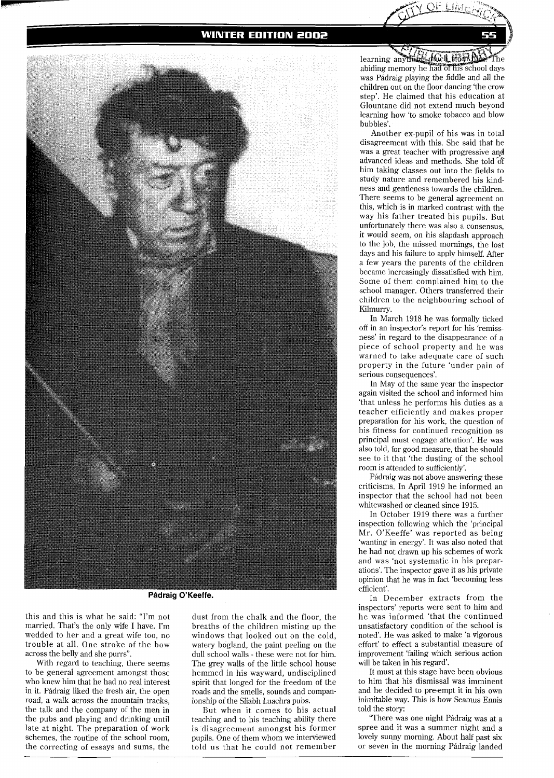## **WINTER EDITION 2002**



**Padraig O'Keeffe.** 

this and this is what he said: "I'm not married. That's the only wife I have. I'm wedded to her and a great wife too, no trouble at all. One stroke of the bow across the belly and she purrs".

With regard to teaching, there seems to be general agreement amongst those who knew him that he had no real interest in it. Padraig liked the fresh air, the open road, a walk across the mountain tracks, the talk and the company of the men in the pubs and playing and drinking until late at night. The preparation of work schemes, the routine of the school room, the correcting of essays and sums, the

dust from the chalk and the floor, the breaths of the children misting up the windows that looked out on the cold, watery bogland, the paint peeling on the dull school walls - these were not for him. The grey walls of the little school house hemmed in his wayward, undisciplined spirit that longed for the freedom of the roads and the smells, sounds and companionship of the Sliabh Luachra pubs.

But when it comes to his actual teaching and to his teaching ability there is disagreement amongst his former pupils. One of them whom we interviewed told us that he could not remember

learning anything Inicit Hom by abiding memory he had of his school days was Pádraig playing the fiddle and all the children out on the floor dancing 'the crow step'. He claimed that his education at Glountane did not extend much beyond learning how 'to smoke tobacco and blow bubbles'.

Another ex-pupil of his was in total disagreement with this. She said that he was a great teacher with progressive and advanced ideas and methods. She told of him taking classes out into the fields to study nature and remembered his kindness and gentleness towards the children. There seems to be general agreement on this, which is in marked contrast with the way his father treated his pupils. But unfortunately there was also a consensus, it would seem, on his slapdash approach to the job, the missed mornings, the lost days and his failure to apply himself. After a few years the parents of the children became increasingly dissatisfied with him. Some of them complained him to the school manager. Others transferred their children to the neighbouring school of Kilmurry.

In March 1918 he was formally ticked off in an inspector's report for his 'remissness' in regard to the disappearance of a piece of school property and he was warned to take adequate care of such property in the future 'under pain of serious consequences'.

In May of the same year the inspector again visited the school and informed him 'that unless he performs his duties as a teacher efficiently and makes proper preparation for his work, the question of his fitness for continued recognition as principal must engage attention'. He was also told, for good measure, that he should see to it that 'the dusting of the school room is attended to sufficiently'.

Padraig was not above answering these criticisms. In April 1919 he informed an inspector that the school had not been whitewashed or cleaned since 1915.

In October 1919 there was a further inspection following which the 'principal Mr. O'Keeffe' was reported as being 'wanting in energy'. It was also noted that he had not drawn up his schemes of work and was 'not systematic in his preparations'. The inspector gave it as his private opinion that he was in fact 'becoming less efficient'.

In December extracts from the inspectors' reports were sent to him and he was informed 'that the continued unsatisfactory condition of the school is noted'. He was asked to make 'a vigorous effort' to effect a substantial measure of improvement 'failing which serious action will be taken in his regard'.

It must at this stage have been obvious to him that his dismissal was imminent and he decided to pre-empt it in his own inimitable way. This is how Seamus Ennis told the story:

"There was one night Padraig was at a spree and it was a summer night and a lovely sunny morning. About half past six or seven in the morning Pádraig landed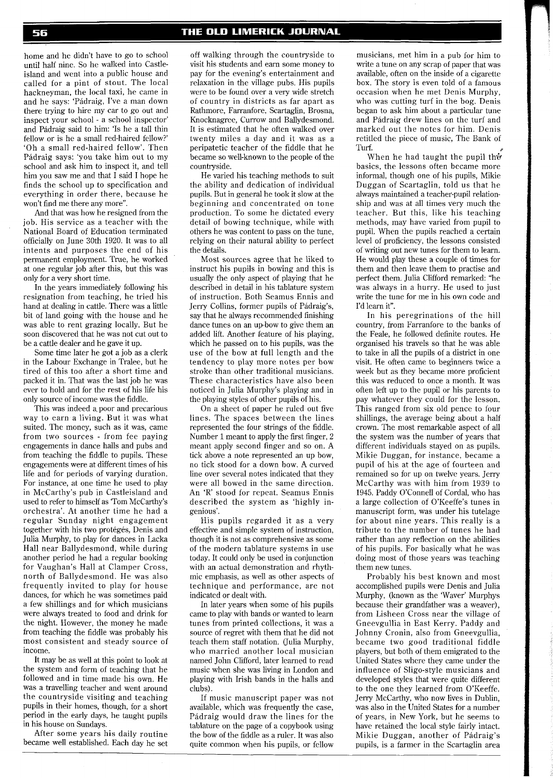#### THE OLD LIMERICK JOURNAL

home and he didn't have to go to school until half nine. So he walked into Castleisland and went into a public house and called for a pint of stout. The local hackneyman, the local taxi, he came in and he says: 'Padraig, I've a man down there trying to hire my car to go out and inspect your school - a school inspector' and Padraig said to him: 'Is he a tall thin fellow or is he a small red-haired fellow?' 'Oh a small red-haired fellow'. Then Padraig says: 'you take him out to my school and ask him to inspect it, and tell him you saw me and that I said I hope he finds the school up to specification and everything in order there, because he won't find me there any more".

And that was how he resigned from the job. His service as a teacher with the National Board of Education terminated officially on June 30th 1920. It was to all intents and purposes the end of his permanent employment. True, he worked at one regular job after this, but this was only for a very short time.

In the years immediately following his resignation from teaching, he tried his hand at dealing in cattle. There was a little bit of land going with the house and he was able to rent grazing locally. But he soon discovered that he was not cut out to be a cattle dealer and he gave it up.

Some time later he got a job as a clerk in the Labour Exchange in Tralee, but he tired of this too after a short time and packed it in. That was the last job he was ever to hold and for the rest of his life his only source of income was the fiddle.

This was indeed a poor and precarious way to earn a living. But it was what suited. The money, such as it was, came from two sources - from fee paying engagements in dance halls and pubs and from teaching the fiddle to pupils. These engagements were at different times of his life and for periods of varying duration. For instance, at one time he used to play in McCarthy's pub in Castleisland and used to refer to himself as Tom McCarthy's orchestra'. At another time he had a regular Sunday night engagement together with his two protégés, Denis and Julia Murphy, to play for dances in Lacka Hall near Ballydesmond, while during another period he had a regular booking for Vaughan's Hall at Clamper Cross, north of Ballydesmond. He was also frequently invited to play for house dances, for which he was sometimes paid a few shillings and for which musicians were always treated to food and drink for the night. However, the money he made from teaching the fiddle was probably his most consistent and steady source of income.

It may be as well at this point to look at the system and form of teaching that he followed and in time made his own. He was a travelling teacher and went around the countryside visiting and teaching pupils in their homes, though, for a short period in the early days, he taught pupils in his house on Sundays.

After some years his daily routine became well established. Each day he set

off walking through the countryside to visit his students and earn some money to pay for the evening's entertainment and relaxation in the village pubs. His pupils were to be found over a very wide stretch of country in districts as far apart as Rathmore, Farranfore, Scartaglin, Brosna, Knocknagree, Currow and Ballydesmond. It is estimated that he often walked over twenty miles a day and it was as a peripatetic teacher of the fiddle that he became so well-known to the people of the countryside.

He varied his teaching methods to suit the ability and dedication of individual pupils. But in general he took it slow at the beginning and concentrated on tone production. To some he dictated every detail of bowing technique, while with others he was content to pass on the tune, relying on their natural ability to perfect the details.

Most sources agree that he liked to instruct his pupils in bowing and this is usually the only aspect of playing that he described in detail in his tablature system of instruction. Both Seamus Ennis and Jerry Collins, former pupils of Padraig's, say that he always recommended finishing dance tunes on an up-bow to give them an added lift. Another feature of his playing, which he passed on to his pupils, was the use of the bow at full length and the tendency to play more notes per bow stroke than other traditional musicians. These characteristics have also been noticed in Julia Murphy's playing and in the playing styles of other pupils of his.

On a sheet of paper he ruled out five lines. The spaces between the lines represented the four strings of the fiddle. Number 1 meant to apply the first finger, 2 meant apply second finger and so on. A tick above a note represented an up bow, no tick stood for a down bow. A curved line over several notes indicated that they were all bowed in the same direction. An 'R' stood for repeat. Seamus Ennis described the system as 'highly ingenious'.

His pupils regarded it as a very effective and simple system of instruction, though it is not as comprehensive as some of the modern tablature systems in use today. It could only be used in conjunction with an actual demonstration and rhythmic emphasis, as well as other aspects of technique and performance, are not indicated or dealt with.

In later years when some of his pupils came to play with bands or wanted to learn tunes from printed collections, it was a source of regret with them that he did not teach them staff notation. (Julia Murphy, who married another local musician named John Clifford, later learned to read music when she was living in London and playing with Irish bands in the halls and clubs).

If music manuscript paper was not available, which was frequently the case, Padraig would draw the lines for the tablature on the page of a copybook using the bow of the fiddle as a ruler. It was also quite common when his pupils, or fellow

musicians, met him in a pub for him to write a tune on any scrap of paper that was available, often on the inside of a cigarette box. The story is even told of a famous occasion when he met Denis Murphy, who was cutting turf in the bog. Denis began to ask him about a particular tune and Padraig drew lines on the turf and marked out the notes for him. Denis retitled the piece of music, The Bank of Turf.  $\theta$ 

When he had taught the pupil the basics, the lessons often became more informal, though one of his pupils, Mikie Duggan of Scartaglin, told us that he always maintained a teacher-pupil relationship and was at all times very much the teacher. But this, like his teaching methods, may have varied from pupil to pupil. When the pupils reached a certain level of proficiency, the lessons consisted of writing out new tunes for them to learn. He would play these a couple of times for them and then leave them to practise and perfect them. Julia Clifford remarked: "he was always in a hurry. He used to just write the tune for me in his own code and I'd learn it".

In his peregrinations of the hill country, from Farranfore to the banks of the Feale, he followed definite routes. He organised his travels so that he was able to take in all the pupils of a district in one visit. He often came to beginners twice a week but as they became more proficient this was reduced to once a month. It was often left up to the pupil or his parents to pay whatever they could for the lesson. This ranged from six old pence to four shillings, the average being about a half crown. The most remarkable aspect of all the system was the number of years that different individuals stayed on as pupils. Mikie Duggan, for instance, became a pupil of his at the age of fourteen and remained so for up on twelve years. Jerry McCarthy was with him from 1939 to 1945. Paddy O'Connell of Cordal, who has a large collection of O'Keeffe's tunes in manuscript form, was under his tutelage for about nine years. This really is a tribute to the number of tunes he had rather than any reflection on the abilities of his pupils. For basically what he was doing most of those years was teaching them new tunes.

Probably his best known and most accomplished pupils were Denis and Julia Murphy, (known as the Waver' Murphys because their grandfather was a weaver), from Lisheen Cross near the village of Gneevgullia in East Kerry. Paddy and Johnny Cronin, also from Gneevgullia, became two good traditional fiddle players, but both of them emigrated to the United States where they came under the influence of Sligo-style musicians and developed styles that were quite different to the one they learned from O'Keeffe. Jerry McCarthy, who now lives in Dublin, was also in the United States for a number of years, in New York, but he seems to have retained the local style fairly intact. Mikie Duggan, another of Padraig's pupils, is a farmer in the Scartaglin area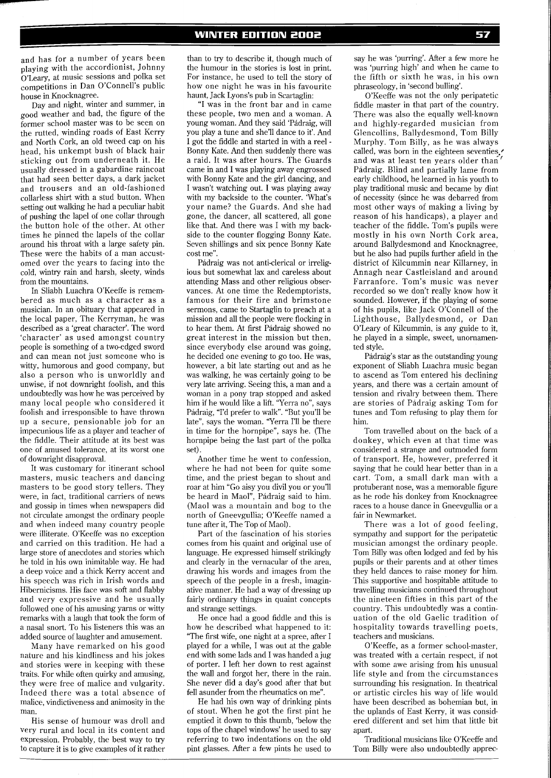and has for a number of years been playing with the accordionist, Johnny O'Leary, at music sessions and polka set competitions in Dan O'Connell's public house in Knocknagree.

Day and night, winter and summer, in good weather and bad, the figure of the former school master was to be seen on the rutted, winding roads of East Kerry and North Cork, an old tweed cap on his head, his unkempt bush of black hair sticking out from underneath it. He usually dressed in a gabardine raincoat that had seen better days, a dark jacket and trousers and an old-fashioned collarless shirt with a stud button. When setting out walking he had a peculiar habit of pushing the lapel of one collar through the button hole of the other. At other times he pinned the lapels of the collar around his throat with a large safety pin. These were the habits of a man accustomed over the years to facing into the cold, wintry rain and harsh, sleety, winds from the mountains.

In Sliabh Luachra O'Keeffe is remembered as much as a character as a musician. In an obituary that appeared in the local paper, The Kerryman, he was described as a 'great character'. The word 'character' as used amongst country people is something of a two-edged sword and can mean not just someone who is witty, humorous and good company, but also a person who is unworldly and unwise, if not downright foolish, and this undoubtedly was how he was perceived by many local people who considered it foolish and irresponsible to have thrown up a secure, pensionable job for an impecunious life as a player and teacher of the fiddle. Their attitude at its best was one of amused tolerance, at its worst one of downright disapproval.

It was customary for itinerant school masters, music teachers and dancing masters to be good story tellers. They were, in fact, traditional carriers of news and gossip in times when newspapers did not circulate amongst the ordinary people and when indeed many country people were illiterate. O'Keeffe was no exception and carried on this tradition. He had a large store of anecdotes and stories which he told in his own inimitable way. He had a deep voice and a thick Kerry accent and his speech was rich in Irish words and Hibernicisms. His face was soft and flabby and very expressive and he usually followed one of his amusing yarns or witty remarks with a laugh that took the form of a nasal snort. To his listeners this was an added source of laughter and amusement.

Many have remarked on his good nature and his kindliness and his jokes and stories were in keeping with these traits. For while often quirky and amusing, they were free of malice and vulgarity. Indeed there was a total absence of malice, vindictiveness and animosity in the man.

His sense of humour was droll and very rural and local in its content and expression. Probably, the best way to try to capture it is to give examples of it rather

than to try to describe it, though much of the humour in the stories is lost in print. For instance, he used to tell the story of how one night he was in his favourite haunt, Jack Lyons's pub in Scartaglin:

"I was in the front bar and in came these people, two men and a woman. A young woman. And they said 'Pádraig, will you play a tune and she'll dance to it'. And I got the fiddle and started in with a reel - Bonny Kate. And then suddenly there was a raid. It was after hours. The Guards came in and I was playing away engrossed with Bonny Kate and the girl dancing, and I wasn't watching out. I was playing away with my backside to the counter. 'What's your name? the Guards. And she had gone, the dancer, all scattered, all gone like that. And there was I with my backside to the counter flogging Bonny Kate. Seven shillings and six pence Bonny Kate cost me".

Padraig was not anti-clerical or irreligious but somewhat lax and careless about attending Mass and other religious observances. At one time the Redemptorists, famous for their fire and brimstone sermons, came to Startaglin to preach at a mission and all the people were flocking in to hear them. At first Pádraig showed no great interest in the mission but then, since everybody else around was going, he decided one evening to go too. He was, however, a bit late starting out and as he was walking, he was certainly going to be very late arriving. Seeing this, a man and a woman in a pony trap stopped and asked him if he would like a lift. "Yerra no", says Pádraig, "I'd prefer to walk". "But you'll be late", says the woman. "Yerra I'll be there in time for the hornpipe", says he. (The hornpipe being the last part of the polka set).

Another time he went to confession, where he had not been for quite some time, and the priest began to shout and roar at him "Go aisy you divil you or you'll be heard in Maol", Padraig said to him. (Maol was a mountain and bog to the north of Gneevgullia; O'Keeffe named a tune after it, The Top of Maol).

Part of the fascination of his stories comes from his quaint and original use of language. He expressed himself strikingly and clearly in the vernacular of the area, drawing his words and images from the speech of the people in a fresh, imaginative manner. He had a way of dressing up fairly ordinary things in quaint concepts and strange settings.

He once had a good fiddle and this is how he described what happened to it: "The first wife, one night at a spree, after I played for a while, I was out at the gable end with some lads and I was handed a jug of porter. I left her down to rest against the wall and forgot her, there in the rain. She never did a day's good after that but fell asunder from the rheumatics on me".

He had his own way of drinking pints of stout. When he got the first pint he emptied it down to this thumb, 'below the tops of the chapel windows' he used to say referring to two indentations on the old pint glasses. After a few pints he used to

say he was 'purring'. After a few more he was 'purring high' and when he came to the fifth or sixth he was, in his own phraseology, in 'second bulling'.

O'Keeffe was not the only peripatetic fiddle master in that part of the country. There was also the equally well-known and highly-regarded musician from Glencollins, Ballydesmond, Tom Billy Murphy. Tom Billy, as he was always called, was born in the eighteen seventies. and was at least ten years older than' Pádraig. Blind and partially lame from early childhood, he learned in his youth to play traditional music and became by dint of necessity (since he was debarred from most other ways of making a living by reason of his handicaps), a player and teacher of the fiddle. Tom's pupils were mostly in his own North Cork area, around Ballydesmond and Knocknagree, but he also had pupils further afield in the district of Kilcummin near Killarney, in Annagh near Castleisland and around Farranfore. Tom's music was never recorded so we don't reallv know how it sounded. However, if the playing of some of his pupils, like Jack O'Connell of the Lighthouse, Ballydesmond, or Dan O'Leary of Kilcummin, is any guide to it, he played in a simple, sweet, unornamented style.

Padraig's star as the outstanding young exponent of Sliabh Luachra music began to ascend as Tom entered his declining years, and there was a certain amount of tension and rivalry between them. There are stories of Padraig asking Tom for tunes and Tom refusing to play them for him.

Tom travelled about on the back of a donkey, which even at that time was considered a strange and outmoded form of transport. He, however, preferred it saying that he could hear better than in a cart. Tom, a small dark man with a protuberant nose, was a memorable figure as he rode his donkey from Knocknagree races to a house dance in Gneevgullia or a fair in Newmarket.

There was a lot of good feeling, sympathy and support for the peripatetic musician amongst the ordinary people. Tom Billy was often lodged and fed by his pupils or their parents and at other times they held dances to raise money for him. This supportive and hospitable attitude to travelling musicians continued throughout the nineteen fifties in this part of the country. This undoubtedly was a continuation of the old Gaelic tradition of hospitality towards travelling poets, teachers and musicians.

O'Keeffe, as a former school-master, was treated with a certain respect, if not with some awe arising from his unusual life style and from the circumstances surrounding his resignation. In theatrical or artistic circles his way of life would have been described as bohemian but, in the uplands of East Kerry, it was considered different and set him that little bit apart.

Traditional musicians like O'Keeffe and Tom Billy were also undoubtedly apprec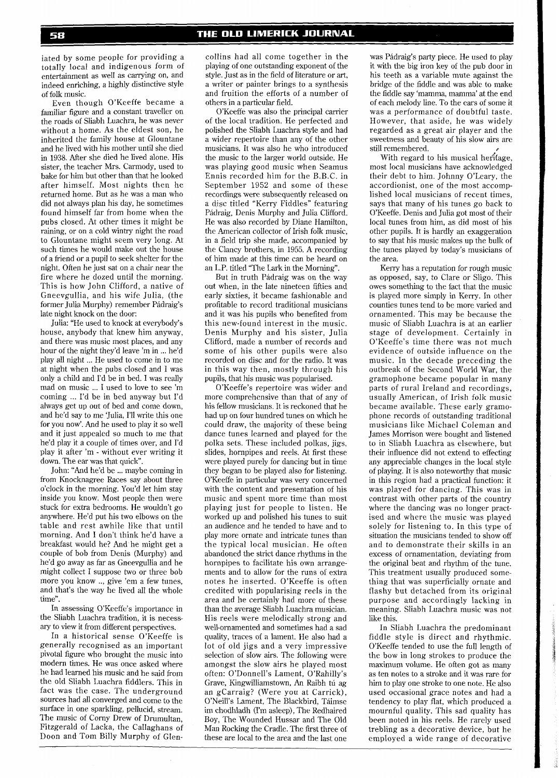iated by some people for providing a totally local and indigenous form of entertainment as well as carrying on, and indeed enriching, a highly distinctive style of folk music.

Even though O'Keeffe became a familiar figure and a constant traveller on the roads of Sliabh Luachra, he was never without a home. As the eldest son, he inherited the family house at Glountane and he lived with his mother until she died in 1938. After she died he lived alone. His sister, the teacher Mrs. Carmody, used to bake for him but other than that he looked after himself. Most nights then he returned home. But as he was a man who did not always plan his day, he sometimes found himself far from home when the pubs closed. At other times it might be raining, or on a cold wintry night the road to Glountane might seem very long. At such times he would make out the house of a friend or a pupil to seek shelter for the night. Often he just sat on a chair near the fire where he dozed until the morning. This is how John Clifford, a native of Gneevgullia, and his wife Julia, (the former Julia Murphy) remember Padraig's late night knock on the door:

Julia: "He used to knock at everybody's house, anybody that knew him anyway, and there was music most places, and any hour of the night they'd leave 'm in ... he'd play all night ... He used to come in to me at night when the pubs closed and I was only a child and I'd be in bed. I was really mad on music ... I used to love to see 'm coming ... I'd be in bed anyway but I'd always get up out of bed and come down, and he'd say to me 'Julia, I'll write this one for you now'. And he used to play it so well and it just appealed so much to me that he'd play it a couple of times over, and I'd play it after 'm - without ever writing it down. The ear was that quick".

John: "And he'd be ... maybe coming in from Knocknagree Races say about three o'clock in the morning. I'ou'd let him stay inside you know. Most people then were stuck for extra bedrooms. He wouldn't go anywhere. He'd put his two elbows on the table and rest awhile like that until morning. And I don't think he'd have a breakfast would he? And he might get a couple of bob from Denis (Murphy) and he'd go away as far as Gneevgullia and he might collect I suppose two or three bob more you know .., give 'em a few tunes, and that's the way he lived all the whole time".

In assessing O'Keeffe's importance in the Sliabh Luachra tradition, it is necessary to view it from different perspectives.

In a historical sense O'Keeffe is generally recognised as an important pivotal figure who brought the music into modern times. He was once asked where he had learned his music and he said from the old Sliabh Luachra fiddlers. This in fact was the case. The underground sources had all converged and come to the surface in one sparkling, pellucid, stream. The music of Corny Drew of Drumultan, Fitzgerald of Lacka, the Callaghans of Doon and Tom Billy Murphy of Glencollins had all come together in the playing of one outstanding exponent of the style. Just as in the field of literature or art, a writer or painter brings to a synthesis and fruition the efforts of a number of others in a particular field.

O'Keeffe was also the principal carrier of the local tradition. He perfected and polished the Sliabh Luachra style and had a wider repertoire than any of the other musicians. It was also he who introduced the music to the larger world outside. He was playing good music when Seamus Ennis recorded him for the B.B.C. in September 1952 and some of these recordings were subsequently released on a disc titled "Kerry Fiddles" featuring Padraig, Denis Murphy and Julia Clifford. He was also recorded by Diane Hamilton, the American collector of Irish folk music, in a field trip she made, accompanied by the Clancy brothers, in 1955. A recording of him made at this time can be heard on an L.P. titled "The Lark in the Morning".

But in truth Padraig was on the way out when, in the late nineteen fifties and early sixties, it became fashionable and profitable to record traditional musicians and it was his pupils who benefited from this new-found interest in the music. Denis Murphy and his sister, Julia Clifford, made a number of records and some of his other pupils were also recorded on disc and for the radio. It was in this way then, mostly through his pupils, that his music was popularised.

O'Keeffe's repertoire was wider and more comprehensive than that of any of his fellow musicians. It is reckoned that he had up on four hundred tunes on which he could draw, the majority of these being dance tunes learned and played for the polka sets. These included polkas, jigs, slides, hornpipes and reels. At first these were played purely for dancing but in time they began to be played also for listening. O'Keeffe in particular was very concerned with the content and presentation of his music and spent more time than most playing just for people to listen. He worked up and polished his tunes to suit an audience and he tended to have and to play more ornate and intricate tunes than the typical local musician. He often abandoned the strict dance rhythms in the hornpipes to facilitate his own arrangements and to allow for the runs of extra notes he inserted. O'Keeffe is often credited with popularising reels in the area and he certainly had more of these than the average Sliabh Luachra musician. His reels were melodically strong and well-ornamented and sometimes had a sad quality, traces of a lament. He also had a lot of old jigs and a very impressive selection of slow airs. The following were amongst the slow airs he played most often: O'Donnell's Lament, O'Rahilly's Grave, Kingwilliamstown, An Raibh tú ag an gCarraig? (Were you at Carrick), O'Neill's Lament, The Blackbird, Taimse im chodhladh (I'm asleep), The Redhaired Boy, The Wounded Hussar and The Old Man Rocking the Cradle. The first three of these are local to the area and the last one

was Pádraig's party piece. He used to play it with the big iron key of the pub door in his teeth as a variable mute against the bridge of the fiddle and was able to make the fiddle say 'mamma, mamma' at the end of each melody line. To the ears of some it was a performance of doubtful taste. However, that aside, he was widely regarded as a great air player and the sweetness and beauty of his slow airs are still remembered.

With regard to his musical heritage, most local musicians have acknowledged their debt to him. Johnny O'Leary, the accordionist, one of the most accomplished local musicians of recent times, says that many of his tunes go back to O'Keeffe. Denis and Julia got most of their local tunes from him, as did most of his other pupils. It is hardly an exaggeration to say that his music makes up the bulk of the tunes played by today's musicians of the area.

Kerry has a reputation for rough music as opposed, say, to Clare or Sligo. This owes something to the fact that the music is played more simply in Kerry. In other counties tunes tend to be more varied and ornamented. This may be because the music of Sliabh Luachra is at an earlier stage of development. Certainly in O'Keeffe's time there was not much evidence of outside influence on the music. In the decade preceding the outbreak of the Second World War, the gramophone became popular in many parts of rural Ireland and recordings, usually American, of Irish folk music became available. These early gramophone records of outstanding traditional musicians like Michael Coleman and James Morrison were bought and listened to in Sliabh Luachra as elsewhere, but their influence did not extend to effecting any appreciable changes in the local style of playing. It is also noteworthy that music in this region had a practical function: it was played for dancing. This was in contrast with other parts of the country where the dancing was no longer practised and where the music was played solely for listening to. In this type of situation the musicians tended to show off and to demonstrate their skills in an excess of ornamentation, deviating from the original beat and rhythm of the tune. This treatment usually produced something that was superficially ornate and flashy but detached from its original purpose and accordingly lacking in meaning. Sliabh Luachra music was not like this.

In Sliabh Luachra the predominant fiddle style is direct and rhythmic. O'Keeffe tended to use the full length of the bow in long strokes to produce the maximum volume. He often got as many as ten notes to a stroke and it was rare for him to play one stroke to one note. He also used occasional grace notes and had a tendency to play flat, which produced a mournful quality. This sad quality has been noted in his reels. He rarely used trebling as a decorative device, but he employed a wide range of decorative